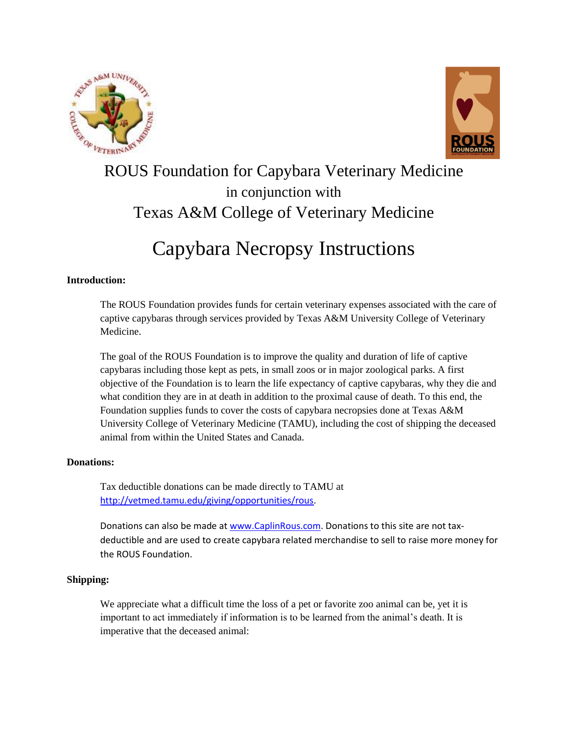



## ROUS Foundation for Capybara Veterinary Medicine in conjunction with Texas A&M College of Veterinary Medicine

# Capybara Necropsy Instructions

## **Introduction:**

The ROUS Foundation provides funds for certain veterinary expenses associated with the care of captive capybaras through services provided by Texas A&M University College of Veterinary Medicine.

The goal of the ROUS Foundation is to improve the quality and duration of life of captive capybaras including those kept as pets, in small zoos or in major zoological parks. A first objective of the Foundation is to learn the life expectancy of captive capybaras, why they die and what condition they are in at death in addition to the proximal cause of death. To this end, the Foundation supplies funds to cover the costs of capybara necropsies done at Texas A&M University College of Veterinary Medicine (TAMU), including the cost of shipping the deceased animal from within the United States and Canada.

## **Donations:**

Tax deductible donations can be made directly to TAMU at [http://vetmed.tamu.edu/giving/opportunities/rous.](http://vetmed.tamu.edu/giving/opportunities/rous)

Donations can also be made a[t www.CaplinRous.com.](http://www.caplinrous.com/) Donations to this site are not taxdeductible and are used to create capybara related merchandise to sell to raise more money for the ROUS Foundation.

## **Shipping:**

We appreciate what a difficult time the loss of a pet or favorite zoo animal can be, yet it is important to act immediately if information is to be learned from the animal's death. It is imperative that the deceased animal: